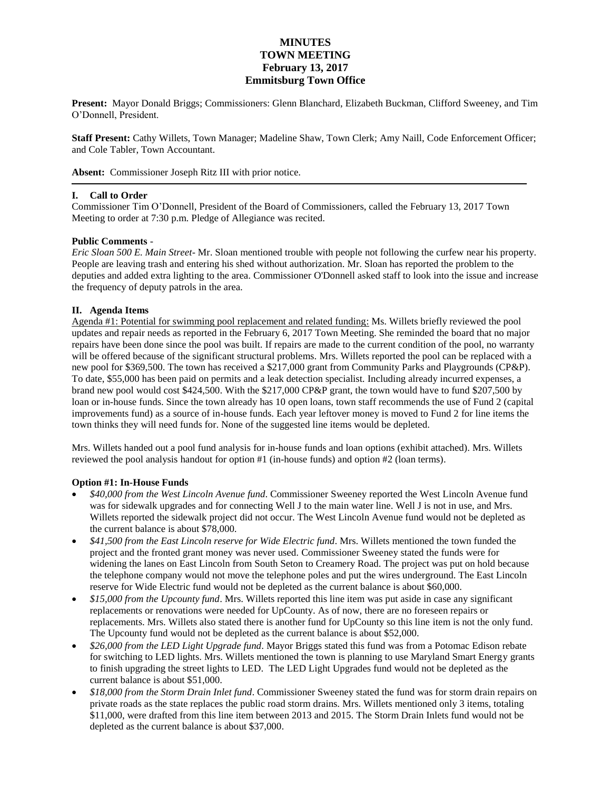# **MINUTES TOWN MEETING February 13, 2017 Emmitsburg Town Office**

**Present:** Mayor Donald Briggs; Commissioners: Glenn Blanchard, Elizabeth Buckman, Clifford Sweeney, and Tim O'Donnell, President.

**Staff Present:** Cathy Willets, Town Manager; Madeline Shaw, Town Clerk; Amy Naill, Code Enforcement Officer; and Cole Tabler, Town Accountant.

**Absent:** Commissioner Joseph Ritz III with prior notice.

### **I. Call to Order**

Commissioner Tim O'Donnell, President of the Board of Commissioners, called the February 13, 2017 Town Meeting to order at 7:30 p.m. Pledge of Allegiance was recited.

### **Public Comments** -

*Eric Sloan 500 E. Main Street*- Mr. Sloan mentioned trouble with people not following the curfew near his property. People are leaving trash and entering his shed without authorization. Mr. Sloan has reported the problem to the deputies and added extra lighting to the area. Commissioner O'Donnell asked staff to look into the issue and increase the frequency of deputy patrols in the area.

# **II. Agenda Items**

Agenda #1: Potential for swimming pool replacement and related funding: Ms. Willets briefly reviewed the pool updates and repair needs as reported in the February 6, 2017 Town Meeting. She reminded the board that no major repairs have been done since the pool was built. If repairs are made to the current condition of the pool, no warranty will be offered because of the significant structural problems. Mrs. Willets reported the pool can be replaced with a new pool for \$369,500. The town has received a \$217,000 grant from Community Parks and Playgrounds (CP&P). To date, \$55,000 has been paid on permits and a leak detection specialist. Including already incurred expenses, a brand new pool would cost \$424,500. With the \$217,000 CP&P grant, the town would have to fund \$207,500 by loan or in-house funds. Since the town already has 10 open loans, town staff recommends the use of Fund 2 (capital improvements fund) as a source of in-house funds. Each year leftover money is moved to Fund 2 for line items the town thinks they will need funds for. None of the suggested line items would be depleted.

Mrs. Willets handed out a pool fund analysis for in-house funds and loan options (exhibit attached). Mrs. Willets reviewed the pool analysis handout for option #1 (in-house funds) and option #2 (loan terms).

#### **Option #1: In-House Funds**

- *\$40,000 from the West Lincoln Avenue fund*. Commissioner Sweeney reported the West Lincoln Avenue fund was for sidewalk upgrades and for connecting Well J to the main water line. Well J is not in use, and Mrs. Willets reported the sidewalk project did not occur. The West Lincoln Avenue fund would not be depleted as the current balance is about \$78,000.
- *\$41,500 from the East Lincoln reserve for Wide Electric fund*. Mrs. Willets mentioned the town funded the project and the fronted grant money was never used. Commissioner Sweeney stated the funds were for widening the lanes on East Lincoln from South Seton to Creamery Road. The project was put on hold because the telephone company would not move the telephone poles and put the wires underground. The East Lincoln reserve for Wide Electric fund would not be depleted as the current balance is about \$60,000.
- *\$15,000 from the Upcounty fund*. Mrs. Willets reported this line item was put aside in case any significant replacements or renovations were needed for UpCounty. As of now, there are no foreseen repairs or replacements. Mrs. Willets also stated there is another fund for UpCounty so this line item is not the only fund. The Upcounty fund would not be depleted as the current balance is about \$52,000.
- *\$26,000 from the LED Light Upgrade fund*. Mayor Briggs stated this fund was from a Potomac Edison rebate for switching to LED lights. Mrs. Willets mentioned the town is planning to use Maryland Smart Energy grants to finish upgrading the street lights to LED. The LED Light Upgrades fund would not be depleted as the current balance is about \$51,000.
- *\$18,000 from the Storm Drain Inlet fund*. Commissioner Sweeney stated the fund was for storm drain repairs on private roads as the state replaces the public road storm drains. Mrs. Willets mentioned only 3 items, totaling \$11,000, were drafted from this line item between 2013 and 2015. The Storm Drain Inlets fund would not be depleted as the current balance is about \$37,000.